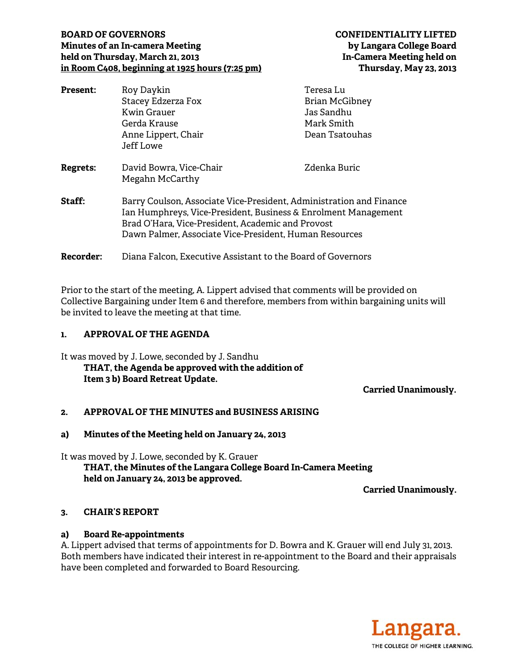#### **BOARD OF GOVERNORS CONFIDENTIALITY LIFTED Minutes of an In-camera Meeting by Langara College Board**  held on Thursday, March 21, 2013 **In-Camera Meeting held on in Room C408, beginning at 1925 hours (7:25 pm) Thursday, May 23, 2013**

| <b>Present:</b> | Roy Daykin                                                                                                                                                                                                                                           | Teresa Lu                           |
|-----------------|------------------------------------------------------------------------------------------------------------------------------------------------------------------------------------------------------------------------------------------------------|-------------------------------------|
|                 | <b>Stacey Edzerza Fox</b><br><b>Kwin Grauer</b>                                                                                                                                                                                                      | <b>Brian McGibney</b><br>Jas Sandhu |
|                 |                                                                                                                                                                                                                                                      |                                     |
|                 | Anne Lippert, Chair                                                                                                                                                                                                                                  | Dean Tsatouhas                      |
|                 | Jeff Lowe                                                                                                                                                                                                                                            |                                     |
| <b>Regrets:</b> | David Bowra, Vice-Chair                                                                                                                                                                                                                              | Zdenka Buric                        |
|                 | Megahn McCarthy                                                                                                                                                                                                                                      |                                     |
| Staff:          | Barry Coulson, Associate Vice-President, Administration and Finance<br>Ian Humphreys, Vice-President, Business & Enrolment Management<br>Brad O'Hara, Vice-President, Academic and Provost<br>Dawn Palmer, Associate Vice-President, Human Resources |                                     |
|                 |                                                                                                                                                                                                                                                      |                                     |
| Recorder:       | Diana Falcon, Executive Assistant to the Board of Governors                                                                                                                                                                                          |                                     |

Prior to the start of the meeting, A. Lippert advised that comments will be provided on Collective Bargaining under Item 6 and therefore, members from within bargaining units will be invited to leave the meeting at that time.

## **1. APPROVAL OF THE AGENDA**

It was moved by J. Lowe, seconded by J. Sandhu  **THAT, the Agenda be approved with the addition of Item 3 b) Board Retreat Update.** 

 **Carried Unanimously.** 

# **2. APPROVAL OF THE MINUTES and BUSINESS ARISING**

#### **a) Minutes of the Meeting held on January 24, 2013**

It was moved by J. Lowe, seconded by K. Grauer

 **THAT, the Minutes of the Langara College Board In-Camera Meeting held on January 24, 2013 be approved.** 

**Carried Unanimously.** 

#### **3. CHAIR'S REPORT**

#### **a) Board Re-appointments**

A. Lippert advised that terms of appointments for D. Bowra and K. Grauer will end July 31, 2013. Both members have indicated their interest in re-appointment to the Board and their appraisals have been completed and forwarded to Board Resourcing.

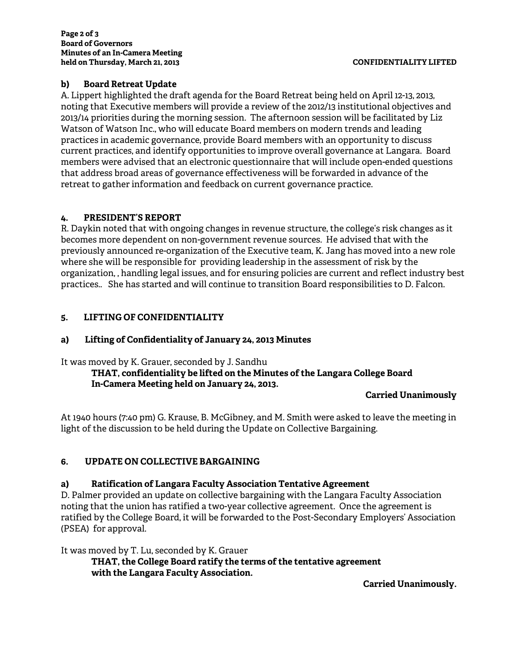## **b) Board Retreat Update**

A. Lippert highlighted the draft agenda for the Board Retreat being held on April 12-13, 2013, noting that Executive members will provide a review of the 2012/13 institutional objectives and 2013/14 priorities during the morning session. The afternoon session will be facilitated by Liz Watson of Watson Inc., who will educate Board members on modern trends and leading practices in academic governance, provide Board members with an opportunity to discuss current practices, and identify opportunities to improve overall governance at Langara. Board members were advised that an electronic questionnaire that will include open-ended questions that address broad areas of governance effectiveness will be forwarded in advance of the retreat to gather information and feedback on current governance practice.

#### **4. PRESIDENT'S REPORT**

R. Daykin noted that with ongoing changes in revenue structure, the college's risk changes as it becomes more dependent on non-government revenue sources. He advised that with the previously announced re-organization of the Executive team, K. Jang has moved into a new role where she will be responsible for providing leadership in the assessment of risk by the organization, , handling legal issues, and for ensuring policies are current and reflect industry best practices.. She has started and will continue to transition Board responsibilities to D. Falcon.

## **5. LIFTING OF CONFIDENTIALITY**

#### **a) Lifting of Confidentiality of January 24, 2013 Minutes**

It was moved by K. Grauer, seconded by J. Sandhu

## **THAT, confidentiality be lifted on the Minutes of the Langara College Board In-Camera Meeting held on January 24, 2013.**

#### **Carried Unanimously**

At 1940 hours (7:40 pm) G. Krause, B. McGibney, and M. Smith were asked to leave the meeting in light of the discussion to be held during the Update on Collective Bargaining.

#### **6. UPDATE ON COLLECTIVE BARGAINING**

#### **a) Ratification of Langara Faculty Association Tentative Agreement**

D. Palmer provided an update on collective bargaining with the Langara Faculty Association noting that the union has ratified a two-year collective agreement. Once the agreement is ratified by the College Board, it will be forwarded to the Post-Secondary Employers' Association (PSEA) for approval.

It was moved by T. Lu, seconded by K. Grauer

**THAT, the College Board ratify the terms of the tentative agreement with the Langara Faculty Association.** 

**Carried Unanimously.**